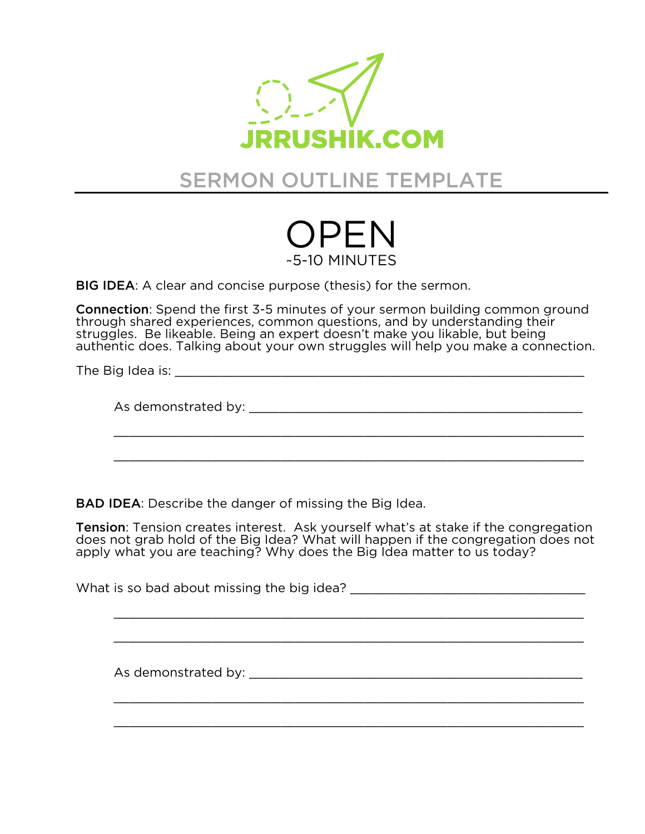

## SERMON OUTLINE TEMPLATE



BIG IDEA: A clear and concise purpose (thesis) for the sermon.

Connection: Spend the first 3-5 minutes of your sermon building common ground through shared experiences, common questions, and by understanding their struggles. Be likeable. Being an expert doesn't make you likable, but being authentic does. Talking about your own struggles will help you make a connection.

The Big Idea is:  $\blacksquare$ 

As demonstrated by:  $\blacksquare$ 

\_\_\_\_\_\_\_\_\_\_\_\_\_\_\_\_\_\_\_\_\_\_\_\_\_\_\_\_\_\_\_\_\_\_\_\_\_\_\_\_\_\_\_\_\_\_\_\_\_\_\_\_\_\_\_\_\_\_\_\_\_\_

\_\_\_\_\_\_\_\_\_\_\_\_\_\_\_\_\_\_\_\_\_\_\_\_\_\_\_\_\_\_\_\_\_\_\_\_\_\_\_\_\_\_\_\_\_\_\_\_\_\_\_\_\_\_\_\_\_\_\_\_\_\_

BAD IDEA: Describe the danger of missing the Big Idea.

Tension: Tension creates interest. Ask yourself what's at stake if the congregation does not grab hold of the Big Idea? What will happen if the congregation does not apply what you are teaching? Why does the Big Idea matter to us today?

What is so bad about missing the big idea? What is so bad about missing the big idea?

\_\_\_\_\_\_\_\_\_\_\_\_\_\_\_\_\_\_\_\_\_\_\_\_\_\_\_\_\_\_\_\_\_\_\_\_\_\_\_\_\_\_\_\_\_\_\_\_\_\_\_\_\_\_\_\_\_\_\_\_\_\_

\_\_\_\_\_\_\_\_\_\_\_\_\_\_\_\_\_\_\_\_\_\_\_\_\_\_\_\_\_\_\_\_\_\_\_\_\_\_\_\_\_\_\_\_\_\_\_\_\_\_\_\_\_\_\_\_\_\_\_\_\_\_

\_\_\_\_\_\_\_\_\_\_\_\_\_\_\_\_\_\_\_\_\_\_\_\_\_\_\_\_\_\_\_\_\_\_\_\_\_\_\_\_\_\_\_\_\_\_\_\_\_\_\_\_\_\_\_\_\_\_\_\_\_\_

\_\_\_\_\_\_\_\_\_\_\_\_\_\_\_\_\_\_\_\_\_\_\_\_\_\_\_\_\_\_\_\_\_\_\_\_\_\_\_\_\_\_\_\_\_\_\_\_\_\_\_\_\_\_\_\_\_\_\_\_\_\_

As demonstrated by: \_\_\_\_\_\_\_\_\_\_\_\_\_\_\_\_\_\_\_\_\_\_\_\_\_\_\_\_\_\_\_\_\_\_\_\_\_\_\_\_\_\_\_\_